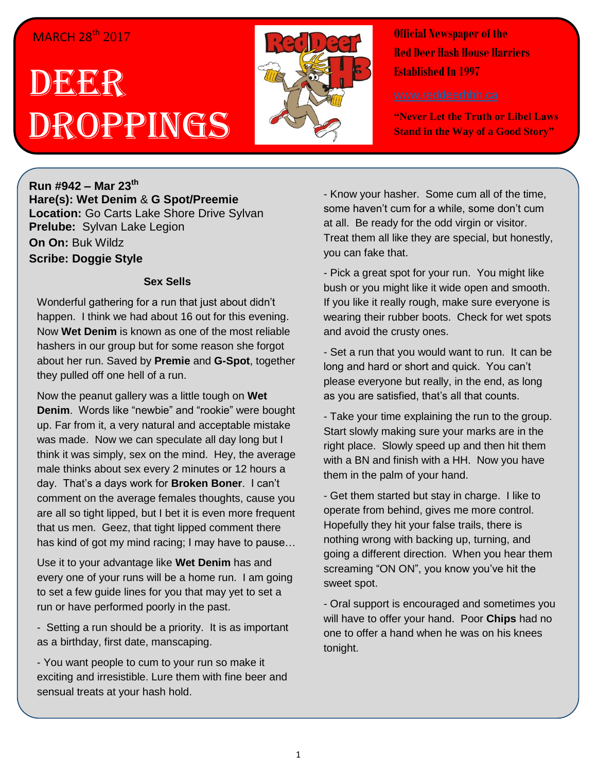## MARCH 28<sup>th</sup> 2017

# DEER Droppings



**Official Newspaper of the Red Deer Hash House Harriers Established In 1997** 

**"Never Let the Truth or Libel Laws Stand in the Way of a Good Story"**

**Run #942 – Mar 23 th Hare(s): Wet Denim** & **G Spot/Preemie Location:** Go Carts Lake Shore Drive Sylvan **Prelube:** Sylvan Lake Legion **On On:** Buk Wildz **Scribe: Doggie Style**

#### **Sex Sells**

Wonderful gathering for a run that just about didn't happen. I think we had about 16 out for this evening. Now **Wet Denim** is known as one of the most reliable hashers in our group but for some reason she forgot about her run. Saved by **Premie** and **G-Spot**, together they pulled off one hell of a run.

Now the peanut gallery was a little tough on **Wet Denim**. Words like "newbie" and "rookie" were bought up. Far from it, a very natural and acceptable mistake was made. Now we can speculate all day long but I think it was simply, sex on the mind. Hey, the average male thinks about sex every 2 minutes or 12 hours a day. That's a days work for **Broken Boner**. I can't comment on the average females thoughts, cause you are all so tight lipped, but I bet it is even more frequent that us men. Geez, that tight lipped comment there has kind of got my mind racing; I may have to pause…

Use it to your advantage like **Wet Denim** has and every one of your runs will be a home run. I am going to set a few guide lines for you that may yet to set a run or have performed poorly in the past.

- Setting a run should be a priority. It is as important as a birthday, first date, manscaping.

- You want people to cum to your run so make it exciting and irresistible. Lure them with fine beer and sensual treats at your hash hold.

- Know your hasher. Some cum all of the time, some haven't cum for a while, some don't cum at all. Be ready for the odd virgin or visitor. Treat them all like they are special, but honestly, you can fake that.

- Pick a great spot for your run. You might like bush or you might like it wide open and smooth. If you like it really rough, make sure everyone is wearing their rubber boots. Check for wet spots and avoid the crusty ones.

- Set a run that you would want to run. It can be long and hard or short and quick. You can't please everyone but really, in the end, as long as you are satisfied, that's all that counts.

- Take your time explaining the run to the group. Start slowly making sure your marks are in the right place. Slowly speed up and then hit them with a BN and finish with a HH. Now you have them in the palm of your hand.

- Get them started but stay in charge. I like to operate from behind, gives me more control. Hopefully they hit your false trails, there is nothing wrong with backing up, turning, and going a different direction. When you hear them screaming "ON ON", you know you've hit the sweet spot.

- Oral support is encouraged and sometimes you will have to offer your hand. Poor **Chips** had no one to offer a hand when he was on his knees tonight.